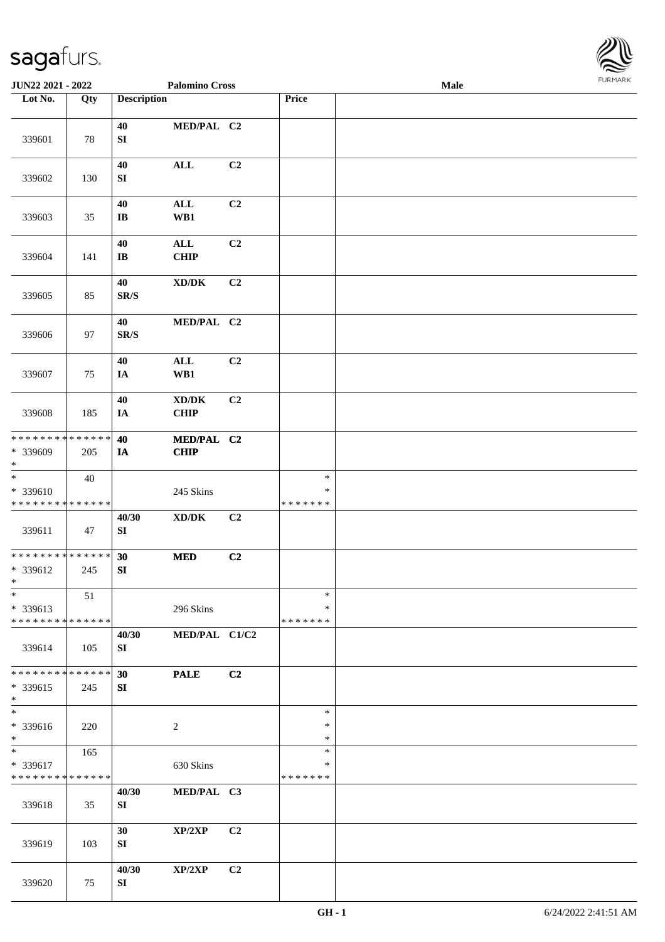

| <b>JUN22 2021 - 2022</b>                                              |                   |                                | <b>Palomino Cross</b>                              |                |                                   | Male |  |
|-----------------------------------------------------------------------|-------------------|--------------------------------|----------------------------------------------------|----------------|-----------------------------------|------|--|
| Lot No.                                                               | $\overline{Q}$ ty | <b>Description</b>             |                                                    |                | Price                             |      |  |
| 339601                                                                | 78                | 40<br>${\bf S}{\bf I}$         | MED/PAL C2                                         |                |                                   |      |  |
| 339602                                                                | 130               | 40<br>${\bf S}{\bf I}$         | $\mathbf{ALL}$                                     | C2             |                                   |      |  |
| 339603                                                                | 35                | 40<br>$\bf{IB}$                | $\mathbf{ALL}$<br>WB1                              | C2             |                                   |      |  |
| 339604                                                                | 141               | 40<br>$\bf I\bf B$             | $\mathbf{ALL}$<br><b>CHIP</b>                      | C2             |                                   |      |  |
| 339605                                                                | 85                | 40<br>$\mathbf{SR}/\mathbf{S}$ | $\bold{X}\bold{D}/\bold{D}\bold{K}$                | C2             |                                   |      |  |
| 339606                                                                | 97                | 40<br>$\mathbf{SR}/\mathbf{S}$ | MED/PAL C2                                         |                |                                   |      |  |
| 339607                                                                | 75                | 40<br>IA                       | $\mathbf{ALL}$<br>WB1                              | C2             |                                   |      |  |
| 339608                                                                | 185               | 40<br>IA                       | $\bold{X}\bold{D}/\bold{D}\bold{K}$<br><b>CHIP</b> | C2             |                                   |      |  |
| * * * * * * * * * * * * * *<br>* 339609<br>$\ast$                     | 205               | 40<br>IA                       | MED/PAL C2<br><b>CHIP</b>                          |                |                                   |      |  |
| $\overline{\phantom{a}^*}$<br>* 339610<br>* * * * * * * * * * * * * * | 40                |                                | 245 Skins                                          |                | $\ast$<br>$\ast$<br>* * * * * * * |      |  |
| 339611                                                                | 47                | 40/30<br>SI                    | $\bold{X}\bold{D}/\bold{D}\bold{K}$                | C2             |                                   |      |  |
| ******** <mark>******</mark><br>* 339612<br>$*$                       | 245               | 30<br>SI                       | <b>MED</b>                                         | C2             |                                   |      |  |
| $\ast$<br>* 339613<br>* * * * * * * * * * * * * *                     | 51                |                                | 296 Skins                                          |                | $\ast$<br>∗<br>* * * * * * *      |      |  |
| 339614                                                                | 105               | 40/30<br>SI                    | MED/PAL C1/C2                                      |                |                                   |      |  |
| * * * * * * * * * * * * * *<br>* 339615<br>$*$                        | 245               | 30<br>SI                       | <b>PALE</b>                                        | C2             |                                   |      |  |
| $\overline{\phantom{a}^*}$<br>* 339616<br>$*$                         | 220               |                                | $\overline{c}$                                     |                | $\ast$<br>∗<br>$\ast$             |      |  |
| $\ast$<br>* 339617<br>* * * * * * * * * * * * * *                     | 165               |                                | 630 Skins                                          |                | $\ast$<br>$\ast$<br>* * * * * * * |      |  |
| 339618                                                                | 35                | 40/30<br>SI                    | MED/PAL C3                                         |                |                                   |      |  |
| 339619                                                                | 103               | 30<br>SI                       | XP/2XP                                             | C2             |                                   |      |  |
| 339620                                                                | 75                | 40/30<br>SI                    | XP/2XP                                             | C <sub>2</sub> |                                   |      |  |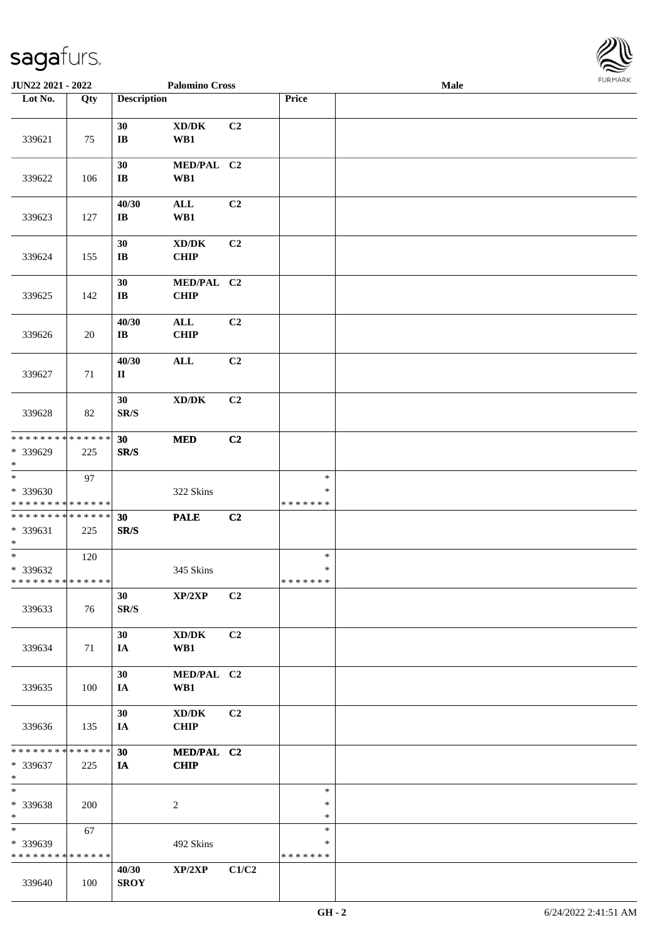

| JUN22 2021 - 2022                                 |     |                              | <b>Palomino Cross</b>                       |                |                                   | Male |  |
|---------------------------------------------------|-----|------------------------------|---------------------------------------------|----------------|-----------------------------------|------|--|
| Lot No.                                           | Qty | <b>Description</b>           |                                             |                | Price                             |      |  |
|                                                   |     |                              |                                             |                |                                   |      |  |
| 339621                                            | 75  | 30<br>$\bf I\bf B$           | $\bold{X}\bold{D}/\bold{D}\bold{K}$<br>WB1  | C2             |                                   |      |  |
| 339622                                            | 106 | 30<br>$\mathbf{I}\mathbf{B}$ | MED/PAL C2<br>WB1                           |                |                                   |      |  |
| 339623                                            | 127 | 40/30<br>$\bf IB$            | $\mathbf{ALL}$<br>WB1                       | C2             |                                   |      |  |
| 339624                                            | 155 | 30<br>$\mathbf{I}\mathbf{B}$ | $\bold{X}\bold{D}/\bold{D}\bold{K}$<br>CHIP | C2             |                                   |      |  |
| 339625                                            | 142 | 30<br>$\bf I\bf B$           | MED/PAL C2<br><b>CHIP</b>                   |                |                                   |      |  |
| 339626                                            | 20  | 40/30<br>$\bf IB$            | $\mathbf{ALL}$<br><b>CHIP</b>               | C <sub>2</sub> |                                   |      |  |
| 339627                                            | 71  | 40/30<br>$\mathbf{I}$        | $\mathbf{ALL}$                              | C2             |                                   |      |  |
| 339628                                            | 82  | 30<br>SR/S                   | $\bold{X}\bold{D}/\bold{D}\bold{K}$         | C2             |                                   |      |  |
| * * * * * * * * * * * * * *<br>* 339629<br>$*$    | 225 | 30<br>SR/S                   | $\bf MED$                                   | C2             |                                   |      |  |
| $\ast$<br>* 339630<br>* * * * * * * * * * * * * * | 97  |                              | 322 Skins                                   |                | $\ast$<br>$\ast$<br>* * * * * * * |      |  |
| * * * * * * * * * * * * * *<br>* 339631<br>$*$    | 225 | 30<br>SR/S                   | <b>PALE</b>                                 | C <sub>2</sub> |                                   |      |  |
| $*$<br>* 339632<br>* * * * * * * * * * * * * *    | 120 |                              | 345 Skins                                   |                | $\ast$<br>$\ast$<br>*******       |      |  |
| 339633                                            | 76  | 30<br>SR/S                   | XP/2XP                                      | C <sub>2</sub> |                                   |      |  |
| 339634                                            | 71  | 30<br>IA                     | $\bold{X}\bold{D}/\bold{D}\bold{K}$<br>WB1  | C2             |                                   |      |  |
| 339635                                            | 100 | 30<br>IA                     | MED/PAL C2<br>WB1                           |                |                                   |      |  |
| 339636                                            | 135 | 30<br>IA                     | XD/DK<br><b>CHIP</b>                        | C2             |                                   |      |  |
| * * * * * * * * * * * * * *<br>* 339637<br>$*$    | 225 | 30<br>IA                     | MED/PAL C2<br><b>CHIP</b>                   |                |                                   |      |  |
| $\ast$<br>* 339638<br>$*$                         | 200 |                              | $\overline{c}$                              |                | $\ast$<br>$\ast$<br>$\ast$        |      |  |
| $\ast$<br>* 339639<br>* * * * * * * * * * * * * * | 67  |                              | 492 Skins                                   |                | $\ast$<br>∗<br>* * * * * * *      |      |  |
| 339640                                            | 100 | 40/30<br><b>SROY</b>         | XP/2XP                                      | C1/C2          |                                   |      |  |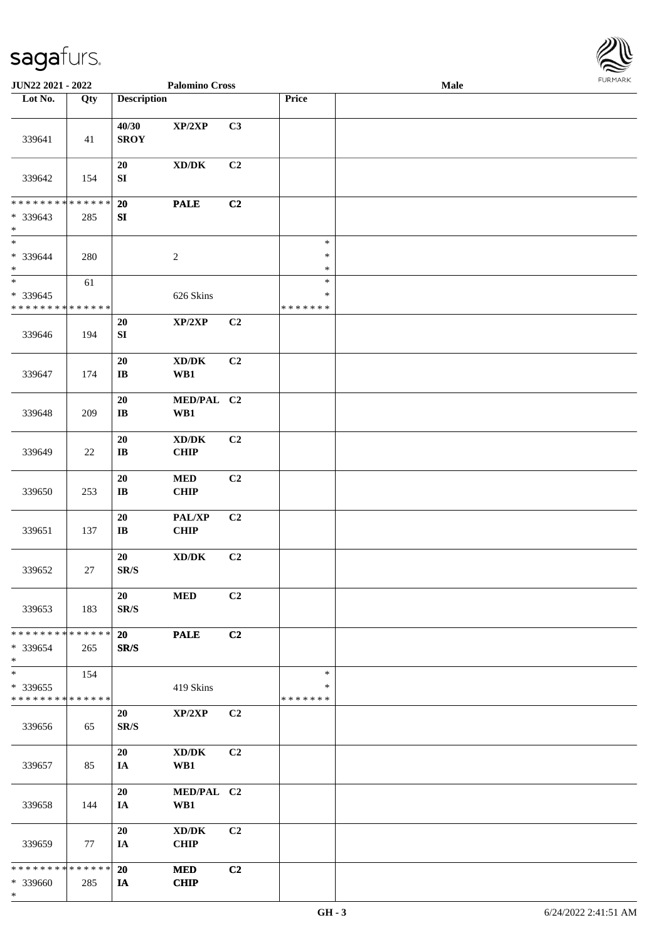

| JUN22 2021 - 2022                                   |        |                                | <b>Palomino Cross</b>                               |                |                              | <b>Male</b> |  |
|-----------------------------------------------------|--------|--------------------------------|-----------------------------------------------------|----------------|------------------------------|-------------|--|
| Lot No.                                             | Qty    | <b>Description</b>             |                                                     |                | Price                        |             |  |
|                                                     |        |                                |                                                     |                |                              |             |  |
| 339641                                              | 41     | 40/30<br><b>SROY</b>           | XP/2XP                                              | C3             |                              |             |  |
| 339642                                              | 154    | 20<br>${\bf SI}$               | $\mathbf{X}\mathbf{D}/\mathbf{D}\mathbf{K}$         | C2             |                              |             |  |
| * * * * * * * * * * * * * *                         |        | 20                             | <b>PALE</b>                                         | C2             |                              |             |  |
| * 339643<br>$\ast$<br>$\overline{\ast}$             | 285    | SI                             |                                                     |                |                              |             |  |
| * 339644<br>$\ast$                                  | 280    |                                | $\sqrt{2}$                                          |                | $\ast$<br>$\ast$<br>$\ast$   |             |  |
| $\ast$                                              | 61     |                                |                                                     |                | $\ast$                       |             |  |
| $* 339645$<br>* * * * * * * * * * * * * *           |        |                                | 626 Skins                                           |                | $\ast$<br>* * * * * * *      |             |  |
| 339646                                              | 194    | 20<br>${\bf SI}$               | $\mathbf{XP}/2\mathbf{XP}$                          | C2             |                              |             |  |
| 339647                                              | 174    | 20<br>$\bf I\bf B$             | $\bold{X}\bold{D}/\bold{D}\bold{K}$<br>WB1          | C2             |                              |             |  |
| 339648                                              | 209    | 20<br>$\bf I\bf B$             | MED/PAL C2<br>WB1                                   |                |                              |             |  |
| 339649                                              | $22\,$ | 20<br>$\bf I\bf B$             | $\mathbf{X}\mathbf{D}/\mathbf{D}\mathbf{K}$<br>CHIP | C2             |                              |             |  |
| 339650                                              | 253    | 20<br>$\bf{IB}$                | $\bf MED$<br>CHIP                                   | C2             |                              |             |  |
| 339651                                              | 137    | ${\bf 20}$<br>$\bf I\bf B$     | PAL/XP<br><b>CHIP</b>                               | C2             |                              |             |  |
| 339652                                              | $27\,$ | 20<br>$\mathbf{SR}/\mathbf{S}$ | $\mathbf{X}\mathbf{D}/\mathbf{D}\mathbf{K}$         | C2             |                              |             |  |
| 339653                                              | 183    | 20<br>SR/S                     | <b>MED</b>                                          | C2             |                              |             |  |
| * * * * * * * * * * * * * * *<br>* 339654<br>$\ast$ | 265    | 20 <sub>2</sub><br>SR/S        | <b>PALE</b>                                         | C2             |                              |             |  |
| $\ast$<br>* 339655<br>* * * * * * * * * * * * * *   | 154    |                                | 419 Skins                                           |                | $\ast$<br>*<br>* * * * * * * |             |  |
| 339656                                              | 65     | 20<br>SR/S                     | XP/2XP                                              | C <sub>2</sub> |                              |             |  |
| 339657                                              | 85     | 20<br>IA                       | $\bold{X}\bold{D}/\bold{D}\bold{K}$<br>WB1          | C2             |                              |             |  |
| 339658                                              | 144    | 20<br>IA                       | MED/PAL C2<br>WB1                                   |                |                              |             |  |
| 339659                                              | 77     | 20<br>IA                       | $\bold{X}\bold{D}/\bold{D}\bold{K}$<br><b>CHIP</b>  | C2             |                              |             |  |
| * * * * * * * * * * * * * * *<br>* 339660<br>$\ast$ | 285    | 20<br>IA                       | <b>MED</b><br><b>CHIP</b>                           | C2             |                              |             |  |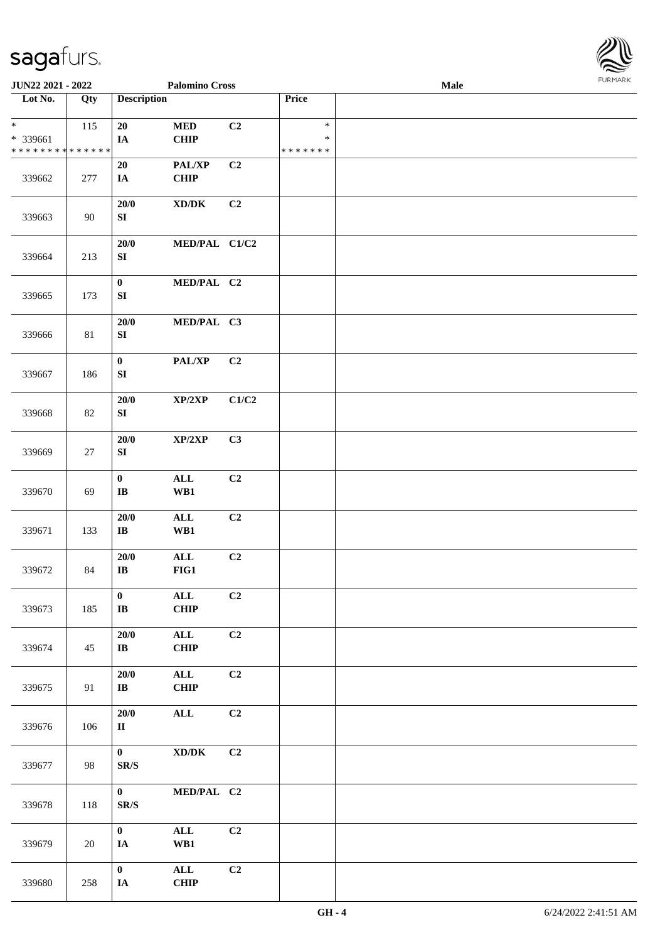

| <b>JUN22 2021 - 2022</b>                                         |                   |                                  | <b>Palomino Cross</b>               |       |                                   | Male |  |
|------------------------------------------------------------------|-------------------|----------------------------------|-------------------------------------|-------|-----------------------------------|------|--|
| Lot No.                                                          | $\overline{Q}$ ty | <b>Description</b>               |                                     |       | Price                             |      |  |
| $\ast$<br>* 339661<br>* * * * * * * * <mark>* * * * * * *</mark> | 115               | $20\,$<br>IA                     | $\bf MED$<br><b>CHIP</b>            | C2    | $\ast$<br>$\ast$<br>* * * * * * * |      |  |
| 339662                                                           | 277               | 20<br>IA                         | PAL/XP<br><b>CHIP</b>               | C2    |                                   |      |  |
| 339663                                                           | 90                | 20/0<br>${\bf S}{\bf I}$         | $\bold{X}\bold{D}/\bold{D}\bold{K}$ | C2    |                                   |      |  |
| 339664                                                           | 213               | 20/0<br>${\bf S}{\bf I}$         | MED/PAL C1/C2                       |       |                                   |      |  |
| 339665                                                           | 173               | $\boldsymbol{0}$<br>${\bf SI}$   | MED/PAL C2                          |       |                                   |      |  |
| 339666                                                           | 81                | 20/0<br>${\bf S}{\bf I}$         | MED/PAL C3                          |       |                                   |      |  |
| 339667                                                           | 186               | $\mathbf{0}$<br>${\bf S}{\bf I}$ | PAL/XP                              | C2    |                                   |      |  |
| 339668                                                           | 82                | 20/0<br>${\bf S}{\bf I}$         | XP/2XP                              | C1/C2 |                                   |      |  |
| 339669                                                           | 27                | $20/0$<br>${\bf S}{\bf I}$       | XP/2XP                              | C3    |                                   |      |  |
| 339670                                                           | 69                | $\mathbf 0$<br>$\bf I\bf B$      | <b>ALL</b><br>WB1                   | C2    |                                   |      |  |
| 339671                                                           | 133               | $20/0$<br>$\bf I\bf B$           | $\mathbf{ALL}$<br>WB1               | C2    |                                   |      |  |
| 339672                                                           | 84                | 20/0<br>$\bf I\bf B$             | $\mathbf{ALL}$<br>FIG1              | C2    |                                   |      |  |
| 339673                                                           | 185               | $\bf{0}$<br>$\bf I\bf B$         | $\mathbf{ALL}$<br><b>CHIP</b>       | C2    |                                   |      |  |
| 339674                                                           | 45                | 20/0<br>$\bf I\bf B$             | $\mathbf{ALL}$<br><b>CHIP</b>       | C2    |                                   |      |  |
| 339675                                                           | 91                | 20/0<br>$\bf IB$                 | $\mathbf{ALL}$<br><b>CHIP</b>       | C2    |                                   |      |  |
| 339676                                                           | 106               | 20/0<br>$\mathbf{I}$             | $\mathbf{ALL}$                      | C2    |                                   |      |  |
| 339677                                                           | 98                | $\mathbf{0}$<br>SR/S             | $\bold{X}\bold{D}/\bold{D}\bold{K}$ | C2    |                                   |      |  |
| 339678                                                           | 118               | $\mathbf{0}$<br>SR/S             | MED/PAL C2                          |       |                                   |      |  |
| 339679                                                           | 20                | $\mathbf{0}$<br>IA               | $\mathbf{ALL}$<br>WB1               | C2    |                                   |      |  |
| 339680                                                           | 258               | $\mathbf{0}$<br>IA               | $\mathbf{ALL}$<br><b>CHIP</b>       | C2    |                                   |      |  |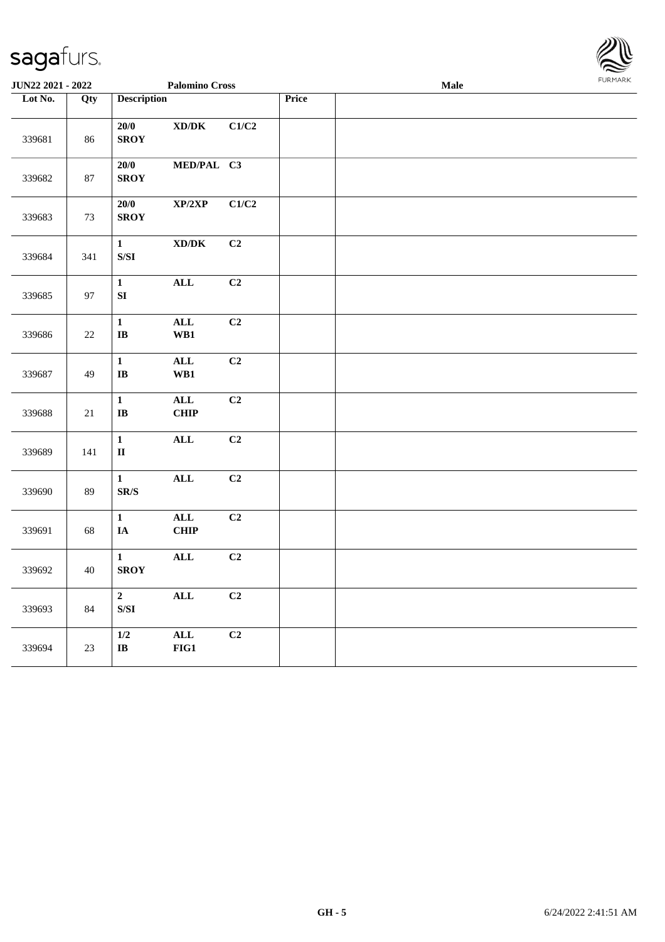| <b>FURMARK</b> |
|----------------|
|                |

| <b>JUN22 2021 - 2022</b> |        |                                                                                                          | <b>Palomino Cross</b>                                        |                |       | <b>Male</b> |  |
|--------------------------|--------|----------------------------------------------------------------------------------------------------------|--------------------------------------------------------------|----------------|-------|-------------|--|
| Lot No.                  | Qty    | <b>Description</b>                                                                                       |                                                              |                | Price |             |  |
| 339681                   | 86     | 20/0<br><b>SROY</b>                                                                                      | $\boldsymbol{\text{XD}}\boldsymbol{/}\boldsymbol{\text{DK}}$ | C1/C2          |       |             |  |
| 339682                   | 87     | $20/0$<br><b>SROY</b>                                                                                    | MED/PAL C3                                                   |                |       |             |  |
| 339683                   | 73     | 20/0<br><b>SROY</b>                                                                                      | $\mathbf{XP}/2\mathbf{XP}$                                   | C1/C2          |       |             |  |
| 339684                   | 341    | $\mathbf{1}$<br>$\ensuremath{\mathrm{S}}\xspace/\ensuremath{\mathrm{S}}\xspace\ensuremath{\mathrm{I}}$   | $\boldsymbol{\text{XD}}\boldsymbol{/}\boldsymbol{\text{DK}}$ | C2             |       |             |  |
| 339685                   | 97     | $\mathbf{1}$<br>${\bf SI}$                                                                               | $\mathbf{ALL}$                                               | C2             |       |             |  |
| 339686                   | $22\,$ | $\mathbf{1}$<br>$\mathbf{I}\mathbf{B}$                                                                   | ALL<br>WB1                                                   | C <sub>2</sub> |       |             |  |
| 339687                   | 49     | $\mathbf{1}$<br>$\mathbf{I}\mathbf{B}$                                                                   | $\mathbf{ALL}$<br>WB1                                        | C2             |       |             |  |
| 339688                   | $21\,$ | $\mathbf{1}$<br>$\mathbf I\mathbf B$                                                                     | $\mathbf{ALL}$<br><b>CHIP</b>                                | C2             |       |             |  |
| 339689                   | 141    | $\mathbf{1}$<br>$\mathbf{I}\mathbf{I}$                                                                   | $\mathbf{ALL}$                                               | C <sub>2</sub> |       |             |  |
| 339690                   | 89     | $\mathbf{1}$<br>$\mbox{S}\mbox{R}/\mbox{S}$                                                              | $\mathbf{ALL}$                                               | C <sub>2</sub> |       |             |  |
| 339691                   | 68     | $\mathbf{1}$<br>$\mathbf{IA}$                                                                            | ALL<br><b>CHIP</b>                                           | C2             |       |             |  |
| 339692                   | 40     | $\mathbf{1}$<br><b>SROY</b>                                                                              | ALL                                                          | C <sub>2</sub> |       |             |  |
| 339693                   | 84     | $\overline{2}$<br>$\ensuremath{\mathrm{S}}\xspace/\ensuremath{\mathrm{S}}\xspace\ensuremath{\mathrm{I}}$ | $\mathbf{ALL}$                                               | C <sub>2</sub> |       |             |  |
| 339694                   | $23\,$ | $1/2$<br>$\mathbf{I}\mathbf{B}$                                                                          | $\mathbf{ALL}$<br>$FIG1$                                     | C2             |       |             |  |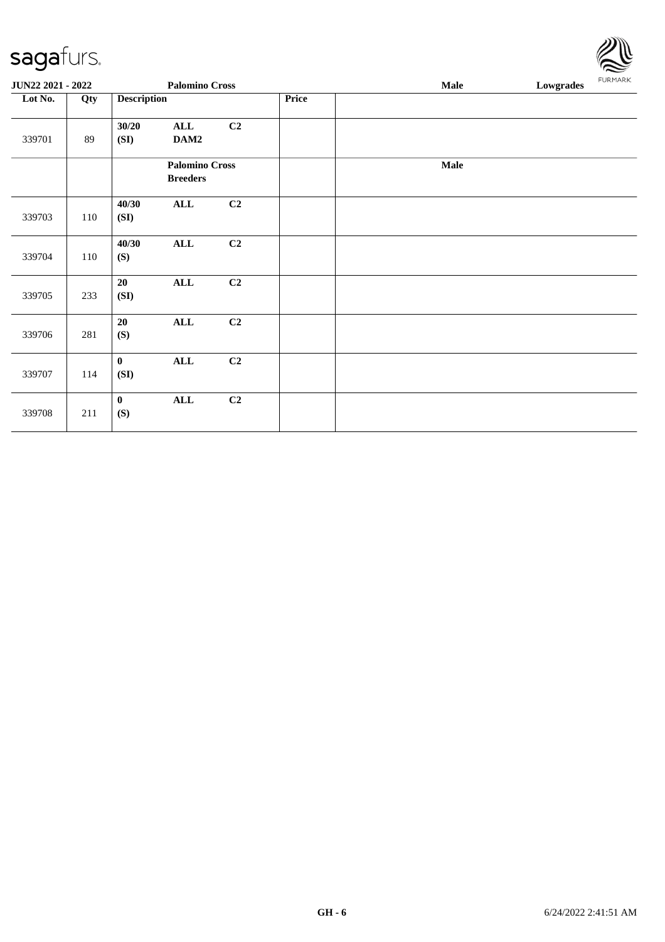| <b>JUN22 2021 - 2022</b><br><b>Palomino Cross</b> |     |                      |                                          |                |       | Male | Lowgrades | <b>FURMARK</b> |
|---------------------------------------------------|-----|----------------------|------------------------------------------|----------------|-------|------|-----------|----------------|
| Lot No.                                           | Qty | <b>Description</b>   |                                          |                | Price |      |           |                |
| 339701                                            | 89  | 30/20<br>(SI)        | ALL<br>DAM2                              | C <sub>2</sub> |       |      |           |                |
|                                                   |     |                      | <b>Palomino Cross</b><br><b>Breeders</b> |                |       | Male |           |                |
| 339703                                            | 110 | 40/30<br>(SI)        | $\mathbf{ALL}$                           | C2             |       |      |           |                |
| 339704                                            | 110 | 40/30<br>(S)         | $\mathbf{ALL}$                           | C2             |       |      |           |                |
| 339705                                            | 233 | 20<br>(SI)           | <b>ALL</b>                               | C <sub>2</sub> |       |      |           |                |
| 339706                                            | 281 | 20<br>(S)            | $\mathbf{ALL}$                           | C2             |       |      |           |                |
| 339707                                            | 114 | $\mathbf{0}$<br>(SI) | $\mathbf{ALL}$                           | C2             |       |      |           |                |
| 339708                                            | 211 | $\bf{0}$<br>(S)      | $\mathbf{ALL}$                           | C2             |       |      |           |                |

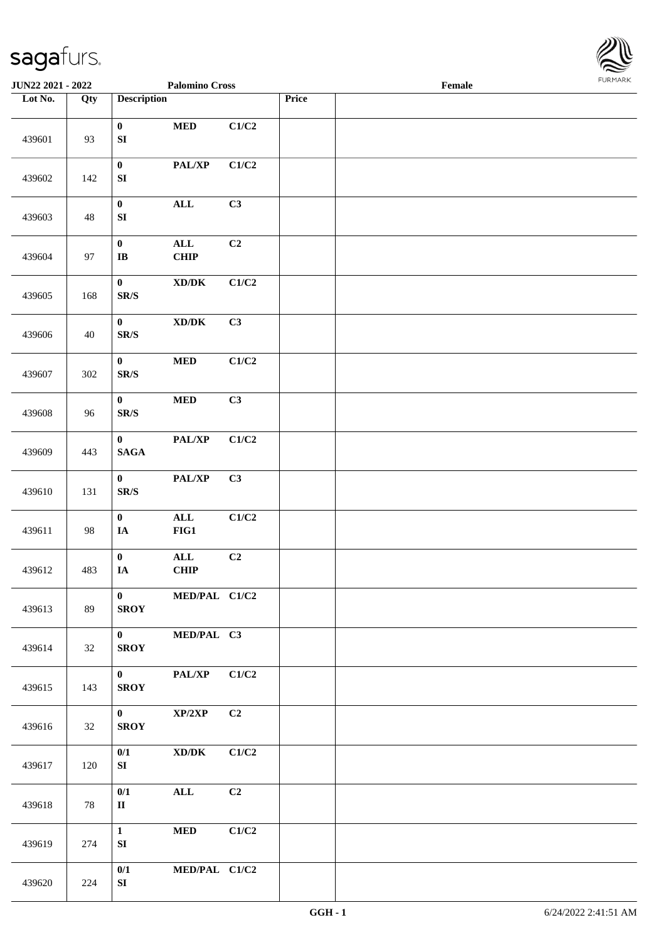

| <b>JUN22 2021 - 2022</b> |     |                                         | <b>Palomino Cross</b>                                        |                           |       | Female |  |
|--------------------------|-----|-----------------------------------------|--------------------------------------------------------------|---------------------------|-------|--------|--|
| Lot No.                  | Qty | <b>Description</b>                      |                                                              |                           | Price |        |  |
| 439601                   | 93  | $\bf{0}$<br>${\bf SI}$                  | $\bf MED$                                                    | C1/C2                     |       |        |  |
| 439602                   | 142 | $\bf{0}$<br>${\bf S}{\bf I}$            | PAL/XP                                                       | C1/C2                     |       |        |  |
| 439603                   | 48  | $\pmb{0}$<br>${\bf S}{\bf I}$           | $\mathbf{ALL}$                                               | C3                        |       |        |  |
| 439604                   | 97  | $\bf{0}$<br>$\mathbf I\mathbf B$        | $\mathbf{ALL}$<br>CHIP                                       | C2                        |       |        |  |
| 439605                   | 168 | $\bf{0}$<br>$\mbox{S}\mbox{R}/\mbox{S}$ | $\boldsymbol{\text{XD}/\text{DK}}$                           | C1/C2                     |       |        |  |
| 439606                   | 40  | $\bf{0}$<br>$\mathbf{SR}/\mathbf{S}$    | $\boldsymbol{\text{XD}}\boldsymbol{/}\boldsymbol{\text{DK}}$ | C3                        |       |        |  |
| 439607                   | 302 | $\bf{0}$<br>$\mathbf{SR}/\mathbf{S}$    | $\bf MED$                                                    | C1/C2                     |       |        |  |
| 439608                   | 96  | $\pmb{0}$<br>$\mathbf{SR}/\mathbf{S}$   | $\bf MED$                                                    | C3                        |       |        |  |
| 439609                   | 443 | $\bf{0}$<br>$\mathbf{SAGA}$             | PAL/XP                                                       | $\mathbf{C1}/\mathbf{C2}$ |       |        |  |
| 439610                   | 131 | $\mathbf{0}$<br>$\mbox{{\sc S}\,R/S}$   | PAL/XP                                                       | C3                        |       |        |  |
| 439611                   | 98  | $\mathbf{0}$<br>$\mathbf{IA}$           | $\mathbf{ALL}$<br>$FIG1$                                     | C1/C2                     |       |        |  |
| 439612                   | 483 | $\bf{0}$<br>$\mathbf{IA}$               | $\mathbf{ALL}$<br><b>CHIP</b>                                | C2                        |       |        |  |
| 439613                   | 89  | $\mathbf{0}$<br><b>SROY</b>             | MED/PAL C1/C2                                                |                           |       |        |  |
| 439614                   | 32  | $\mathbf{0}$<br><b>SROY</b>             | MED/PAL C3                                                   |                           |       |        |  |
| 439615                   | 143 | $\mathbf{0}$<br><b>SROY</b>             | PAL/XP                                                       | C1/C2                     |       |        |  |
| 439616                   | 32  | $\mathbf{0}$<br><b>SROY</b>             | XP/2XP                                                       | C2                        |       |        |  |
| 439617                   | 120 | 0/1<br>SI                               | $\boldsymbol{\mathrm{XD}/\mathrm{DK}}$                       | C1/C2                     |       |        |  |
| 439618                   | 78  | 0/1<br>$\mathbf{I}$                     | $\mathbf{ALL}$                                               | C2                        |       |        |  |
| 439619                   | 274 | $\mathbf{1}$<br>SI                      | $\bf MED$                                                    | C1/C2                     |       |        |  |
| 439620                   | 224 | 0/1<br>SI                               | MED/PAL C1/C2                                                |                           |       |        |  |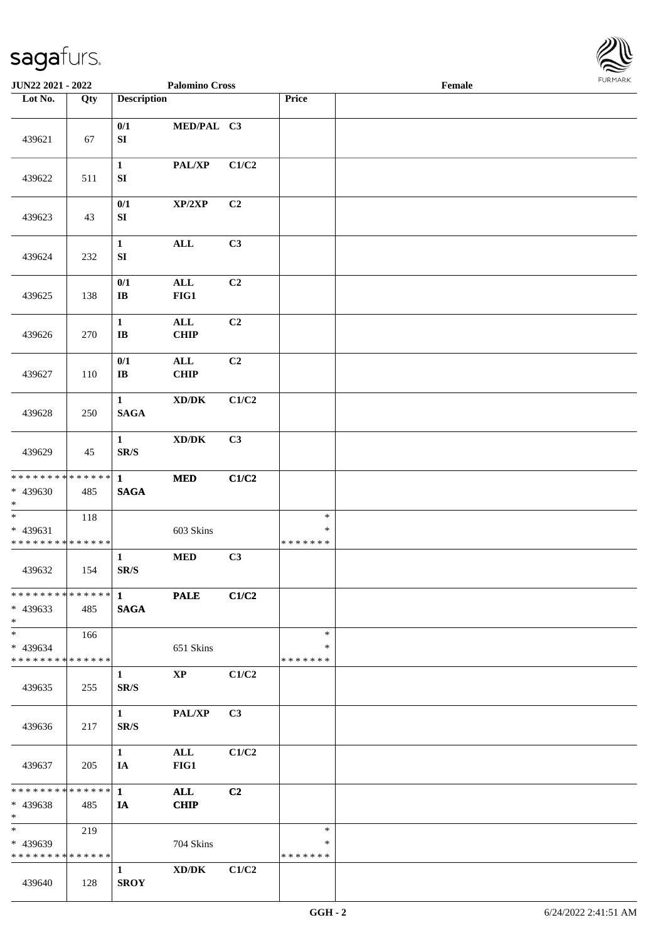

| JUN22 2021 - 2022                                                   |     |                                          | <b>Palomino Cross</b>              |                |                                   | Female |  |
|---------------------------------------------------------------------|-----|------------------------------------------|------------------------------------|----------------|-----------------------------------|--------|--|
| Lot No.                                                             | Qty | <b>Description</b>                       |                                    |                | Price                             |        |  |
| 439621                                                              | 67  | 0/1<br>${\bf S}{\bf I}$                  | MED/PAL C3                         |                |                                   |        |  |
| 439622                                                              | 511 | $\mathbf{1}$<br>${\bf SI}$               | PAL/XP                             | C1/C2          |                                   |        |  |
| 439623                                                              | 43  | 0/1<br>SI                                | XP/2XP                             | C2             |                                   |        |  |
| 439624                                                              | 232 | $\mathbf{1}$<br>${\bf SI}$               | $\mathbf{ALL}$                     | C3             |                                   |        |  |
| 439625                                                              | 138 | 0/1<br>$\bf I\bf B$                      | $\mathbf{ALL}$<br>FIG1             | C2             |                                   |        |  |
| 439626                                                              | 270 | $\mathbf{1}$<br>$\bf{IB}$                | $\mathbf{ALL}$<br><b>CHIP</b>      | C2             |                                   |        |  |
| 439627                                                              | 110 | 0/1<br>$\bf I\bf B$                      | $\mathbf{ALL}$<br>CHIP             | C <sub>2</sub> |                                   |        |  |
| 439628                                                              | 250 | $\mathbf{1}$<br><b>SAGA</b>              | $\boldsymbol{\text{XD}/\text{DK}}$ | C1/C2          |                                   |        |  |
| 439629                                                              | 45  | $\mathbf{1}$<br>$\mathbf{SR}/\mathbf{S}$ | $\boldsymbol{\text{XD}/\text{DK}}$ | C3             |                                   |        |  |
| ******** <mark>******</mark>                                        |     | $\mathbf{1}$                             | $\bf MED$                          | C1/C2          |                                   |        |  |
| * 439630<br>$*$                                                     | 485 | <b>SAGA</b>                              |                                    |                |                                   |        |  |
| $\ast$<br>* 439631<br>* * * * * * * * * * * * * *                   | 118 |                                          | 603 Skins                          |                | $\ast$<br>$\ast$<br>* * * * * * * |        |  |
| 439632                                                              | 154 | $\mathbf{1}$<br>$\mathbf{SR}/\mathbf{S}$ | $\bf MED$                          | C3             |                                   |        |  |
| ************** 1<br>$* 439633$<br>$*$                               | 485 | <b>SAGA</b>                              | <b>PALE</b>                        | C1/C2          |                                   |        |  |
| $\ast$<br>* 439634<br>* * * * * * * * * * * * * *                   | 166 |                                          | 651 Skins                          |                | $\ast$<br>*<br>* * * * * * *      |        |  |
| 439635                                                              | 255 | $\mathbf{1}$<br>SR/S                     | $\mathbf{X}\mathbf{P}$             | C1/C2          |                                   |        |  |
| 439636                                                              | 217 | $1 \quad$<br>SR/S                        | PAL/XP                             | C3             |                                   |        |  |
| 439637                                                              | 205 | $\mathbf{1}$<br>IA                       | $\mathbf{ALL}$<br>FIG1             | C1/C2          |                                   |        |  |
| ************** 1<br>* 439638<br>$*$                                 | 485 | IA                                       | <b>ALL</b><br><b>CHIP</b>          | C <sub>2</sub> |                                   |        |  |
| $\overline{\phantom{0}}$<br>* 439639<br>* * * * * * * * * * * * * * | 219 |                                          | 704 Skins                          |                | $\ast$<br>∗<br>* * * * * * *      |        |  |
| 439640                                                              | 128 | $\mathbf{1}$<br><b>SROY</b>              | XD/DK                              | C1/C2          |                                   |        |  |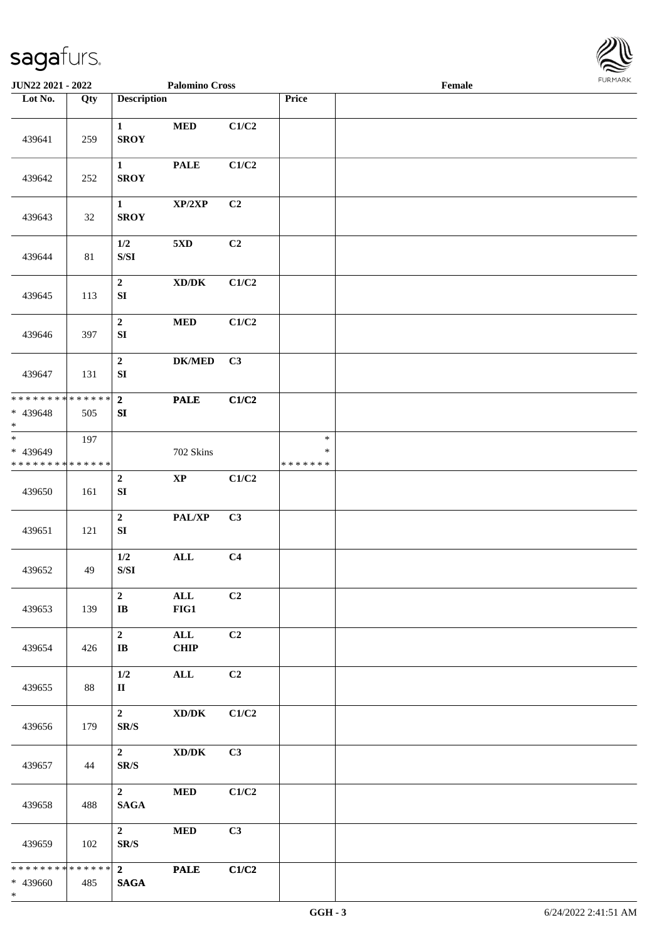

| JUN22 2021 - 2022                                        |     |                                                                                               | <b>Palomino Cross</b>                                            |       |                                   | Female |  |
|----------------------------------------------------------|-----|-----------------------------------------------------------------------------------------------|------------------------------------------------------------------|-------|-----------------------------------|--------|--|
| Lot No.                                                  | Qty | <b>Description</b>                                                                            |                                                                  |       | Price                             |        |  |
| 439641                                                   | 259 | $\mathbf{1}$<br><b>SROY</b>                                                                   | $\bf MED$                                                        | C1/C2 |                                   |        |  |
| 439642                                                   | 252 | $\mathbf{1}$<br><b>SROY</b>                                                                   | <b>PALE</b>                                                      | C1/C2 |                                   |        |  |
| 439643                                                   | 32  | $\mathbf{1}$<br><b>SROY</b>                                                                   | XP/2XP                                                           | C2    |                                   |        |  |
| 439644                                                   | 81  | 1/2<br>$\ensuremath{\mathrm{S}}\xspace/\ensuremath{\mathrm{S}}\xspace\ensuremath{\mathrm{I}}$ | $5{\rm XD}$                                                      | C2    |                                   |        |  |
| 439645                                                   | 113 | $\overline{2}$<br>SI                                                                          | $\bold{X}\bold{D}/\bold{D}\bold{K}$                              | C1/C2 |                                   |        |  |
| 439646                                                   | 397 | $\boldsymbol{2}$<br>${\bf S}{\bf I}$                                                          | $\bf MED$                                                        | C1/C2 |                                   |        |  |
| 439647                                                   | 131 | $\mathbf 2$<br>${\bf S}{\bf I}$                                                               | ${\bf DK/MED}$                                                   | C3    |                                   |        |  |
| * * * * * * * * * * * * * * *<br>* 439648<br>$\ast$      | 505 | $\overline{\mathbf{2}}$<br>SI                                                                 | <b>PALE</b>                                                      | C1/C2 |                                   |        |  |
| $_{\ast}^{-}$<br>* 439649<br>* * * * * * * * * * * * * * | 197 |                                                                                               | 702 Skins                                                        |       | $\ast$<br>$\ast$<br>* * * * * * * |        |  |
| 439650                                                   | 161 | $\mathbf 2$<br>${\bf S}{\bf I}$                                                               | $\bold{XP}$                                                      | C1/C2 |                                   |        |  |
| 439651                                                   | 121 | $\mathbf 2$<br>${\bf S}{\bf I}$                                                               | PAL/XP                                                           | C3    |                                   |        |  |
| 439652                                                   | 49  | 1/2<br>$\ensuremath{\mathrm{S}}\xspace/\ensuremath{\mathrm{S}}\xspace\ensuremath{\mathrm{I}}$ | $\mathbf{ALL}$                                                   | C4    |                                   |        |  |
| 439653                                                   | 139 | $\overline{2}$<br>$\mathbf{I}\mathbf{B}$                                                      | ALL<br>FIG1                                                      | C2    |                                   |        |  |
| 439654                                                   | 426 | $\overline{2}$<br>$\mathbf{I}\mathbf{B}$                                                      | $\mathbf{ALL}$<br><b>CHIP</b>                                    | C2    |                                   |        |  |
| 439655                                                   | 88  | $1/2$<br>$\mathbf{I}$                                                                         | $\mathbf{ALL}$                                                   | C2    |                                   |        |  |
| 439656                                                   | 179 | $\overline{\mathbf{2}}$<br>SR/S                                                               | $\bold{X}\bold{D}/\bold{D}\bold{K}$                              | C1/C2 |                                   |        |  |
| 439657                                                   | 44  | $\overline{\mathbf{2}}$<br>SR/S                                                               | $\boldsymbol{\mathrm{XD}}\boldsymbol{/}\boldsymbol{\mathrm{DK}}$ | C3    |                                   |        |  |
| 439658                                                   | 488 | $2^{\circ}$<br><b>SAGA</b>                                                                    | <b>MED</b>                                                       | C1/C2 |                                   |        |  |
| 439659                                                   | 102 | $\overline{2}$<br>SR/S                                                                        | <b>MED</b>                                                       | C3    |                                   |        |  |
| * * * * * * * * * * * * * * *<br>* 439660<br>$\ast$      | 485 | $\overline{\mathbf{2}}$<br><b>SAGA</b>                                                        | <b>PALE</b>                                                      | C1/C2 |                                   |        |  |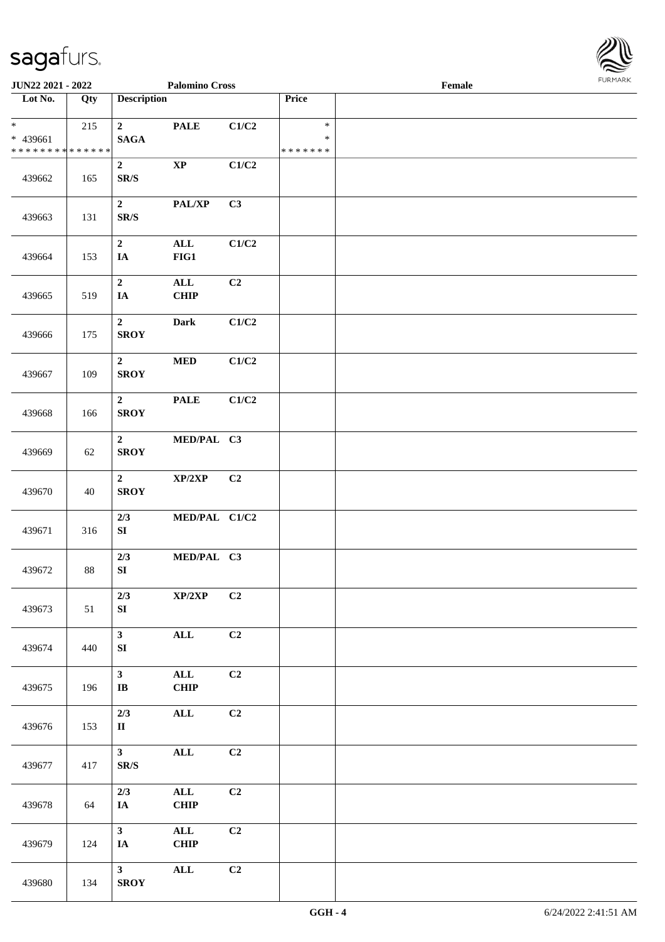

| <b>JUN22 2021 - 2022</b>                                         |        |                                              | <b>Palomino Cross</b>         |       |                                   | Female |  |
|------------------------------------------------------------------|--------|----------------------------------------------|-------------------------------|-------|-----------------------------------|--------|--|
| Lot No.                                                          | Qty    | <b>Description</b>                           |                               |       | Price                             |        |  |
| $\ast$<br>* 439661<br>* * * * * * * * <mark>* * * * * * *</mark> | 215    | $\overline{2}$<br><b>SAGA</b>                | <b>PALE</b>                   | C1/C2 | $\ast$<br>$\ast$<br>* * * * * * * |        |  |
| 439662                                                           | 165    | $\boldsymbol{2}$<br>$\mathbf{SR}/\mathbf{S}$ | $\mathbf{XP}$                 | C1/C2 |                                   |        |  |
| 439663                                                           | 131    | $\overline{2}$<br>$\mathbf{SR}/\mathbf{S}$   | PAL/XP                        | C3    |                                   |        |  |
| 439664                                                           | 153    | $\overline{2}$<br>IA                         | $\mathbf{ALL}$<br>$FIG1$      | C1/C2 |                                   |        |  |
| 439665                                                           | 519    | $\overline{2}$<br>$I\!\!A$                   | $\mathbf{ALL}$<br>CHIP        | C2    |                                   |        |  |
| 439666                                                           | 175    | $\overline{2}$<br><b>SROY</b>                | <b>Dark</b>                   | C1/C2 |                                   |        |  |
| 439667                                                           | 109    | $2^{\circ}$<br><b>SROY</b>                   | $\bf MED$                     | C1/C2 |                                   |        |  |
| 439668                                                           | 166    | $\mathbf{2}$<br><b>SROY</b>                  | <b>PALE</b>                   | C1/C2 |                                   |        |  |
| 439669                                                           | 62     | $\overline{2}$<br><b>SROY</b>                | MED/PAL C3                    |       |                                   |        |  |
| 439670                                                           | 40     | $\overline{2}$<br><b>SROY</b>                | XP/2XP                        | C2    |                                   |        |  |
| 439671                                                           | 316    | 2/3<br>${\bf SI}$                            | MED/PAL C1/C2                 |       |                                   |        |  |
| 439672                                                           | $88\,$ | 2/3<br>${\bf S}{\bf I}$                      | MED/PAL C3                    |       |                                   |        |  |
| 439673                                                           | 51     | 2/3<br>SI                                    | $\mathbf{XP}/2\mathbf{XP}$    | C2    |                                   |        |  |
| 439674                                                           | 440    | 3 <sup>1</sup><br>SI                         | $\mathbf{ALL}$                | C2    |                                   |        |  |
| 439675                                                           | 196    | 3 <sup>1</sup><br>$\bf I\bf B$               | $\mathbf{ALL}$<br><b>CHIP</b> | C2    |                                   |        |  |
| 439676                                                           | 153    | 2/3<br>$\mathbf{I}$                          | $\mathbf{ALL}$                | C2    |                                   |        |  |
| 439677                                                           | 417    | 3 <sup>7</sup><br>SR/S                       | $\mathbf{ALL}$                | C2    |                                   |        |  |
| 439678                                                           | 64     | 2/3<br>$I\!\!A$                              | $\mathbf{ALL}$<br><b>CHIP</b> | C2    |                                   |        |  |
| 439679                                                           | 124    | 3 <sup>7</sup><br>IA                         | $\mathbf{ALL}$<br><b>CHIP</b> | C2    |                                   |        |  |
| 439680                                                           | 134    | 3 <sup>1</sup><br><b>SROY</b>                | $\mathbf{ALL}$                | C2    |                                   |        |  |